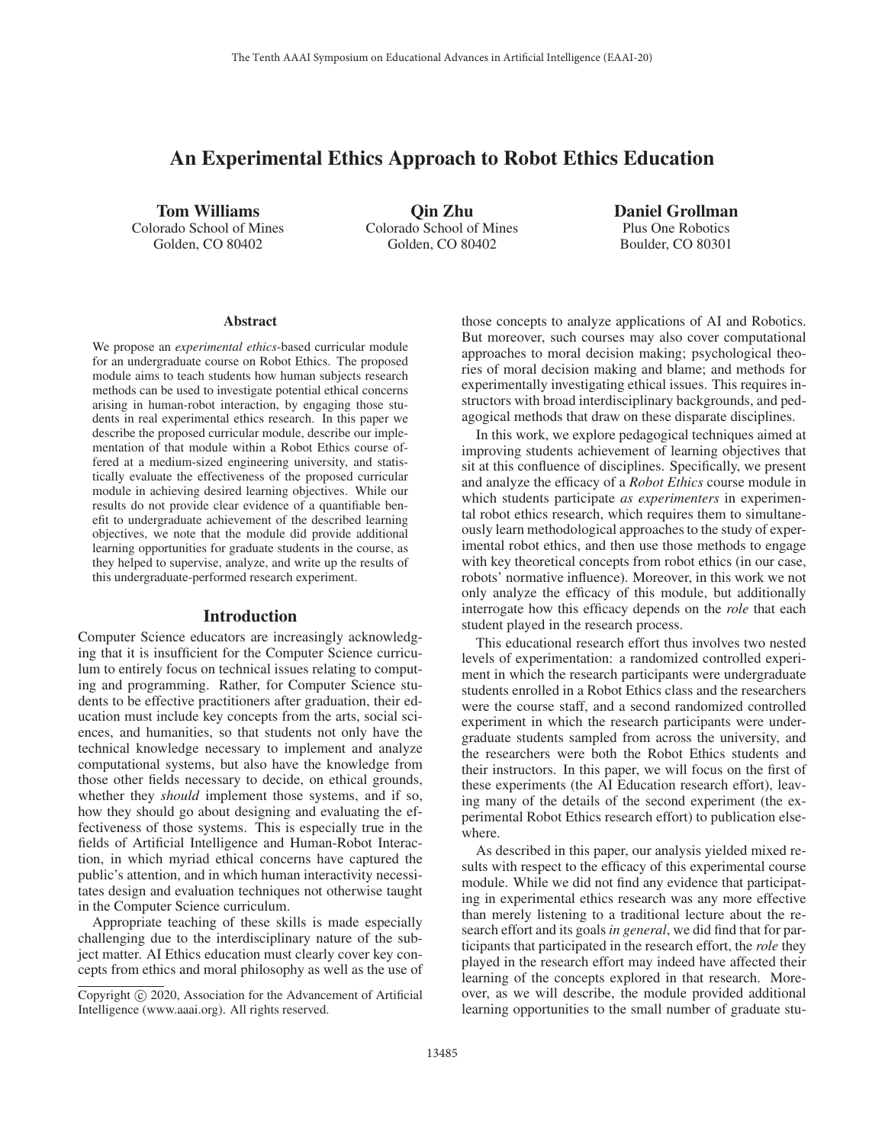# An Experimental Ethics Approach to Robot Ethics Education

Tom Williams Colorado School of Mines Golden, CO 80402

Qin Zhu Colorado School of Mines Golden, CO 80402

Daniel Grollman Plus One Robotics Boulder, CO 80301

#### Abstract

We propose an *experimental ethics*-based curricular module for an undergraduate course on Robot Ethics. The proposed module aims to teach students how human subjects research methods can be used to investigate potential ethical concerns arising in human-robot interaction, by engaging those students in real experimental ethics research. In this paper we describe the proposed curricular module, describe our implementation of that module within a Robot Ethics course offered at a medium-sized engineering university, and statistically evaluate the effectiveness of the proposed curricular module in achieving desired learning objectives. While our results do not provide clear evidence of a quantifiable benefit to undergraduate achievement of the described learning objectives, we note that the module did provide additional learning opportunities for graduate students in the course, as they helped to supervise, analyze, and write up the results of this undergraduate-performed research experiment.

#### Introduction

Computer Science educators are increasingly acknowledging that it is insufficient for the Computer Science curriculum to entirely focus on technical issues relating to computing and programming. Rather, for Computer Science students to be effective practitioners after graduation, their education must include key concepts from the arts, social sciences, and humanities, so that students not only have the technical knowledge necessary to implement and analyze computational systems, but also have the knowledge from those other fields necessary to decide, on ethical grounds, whether they *should* implement those systems, and if so, how they should go about designing and evaluating the effectiveness of those systems. This is especially true in the fields of Artificial Intelligence and Human-Robot Interaction, in which myriad ethical concerns have captured the public's attention, and in which human interactivity necessitates design and evaluation techniques not otherwise taught in the Computer Science curriculum.

Appropriate teaching of these skills is made especially challenging due to the interdisciplinary nature of the subject matter. AI Ethics education must clearly cover key concepts from ethics and moral philosophy as well as the use of

those concepts to analyze applications of AI and Robotics. But moreover, such courses may also cover computational approaches to moral decision making; psychological theories of moral decision making and blame; and methods for experimentally investigating ethical issues. This requires instructors with broad interdisciplinary backgrounds, and pedagogical methods that draw on these disparate disciplines.

In this work, we explore pedagogical techniques aimed at improving students achievement of learning objectives that sit at this confluence of disciplines. Specifically, we present and analyze the efficacy of a *Robot Ethics* course module in which students participate *as experimenters* in experimental robot ethics research, which requires them to simultaneously learn methodological approaches to the study of experimental robot ethics, and then use those methods to engage with key theoretical concepts from robot ethics (in our case, robots' normative influence). Moreover, in this work we not only analyze the efficacy of this module, but additionally interrogate how this efficacy depends on the *role* that each student played in the research process.

This educational research effort thus involves two nested levels of experimentation: a randomized controlled experiment in which the research participants were undergraduate students enrolled in a Robot Ethics class and the researchers were the course staff, and a second randomized controlled experiment in which the research participants were undergraduate students sampled from across the university, and the researchers were both the Robot Ethics students and their instructors. In this paper, we will focus on the first of these experiments (the AI Education research effort), leaving many of the details of the second experiment (the experimental Robot Ethics research effort) to publication elsewhere.

As described in this paper, our analysis yielded mixed results with respect to the efficacy of this experimental course module. While we did not find any evidence that participating in experimental ethics research was any more effective than merely listening to a traditional lecture about the research effort and its goals *in general*, we did find that for participants that participated in the research effort, the *role* they played in the research effort may indeed have affected their learning of the concepts explored in that research. Moreover, as we will describe, the module provided additional learning opportunities to the small number of graduate stu-

Copyright  $\odot$  2020, Association for the Advancement of Artificial Intelligence (www.aaai.org). All rights reserved.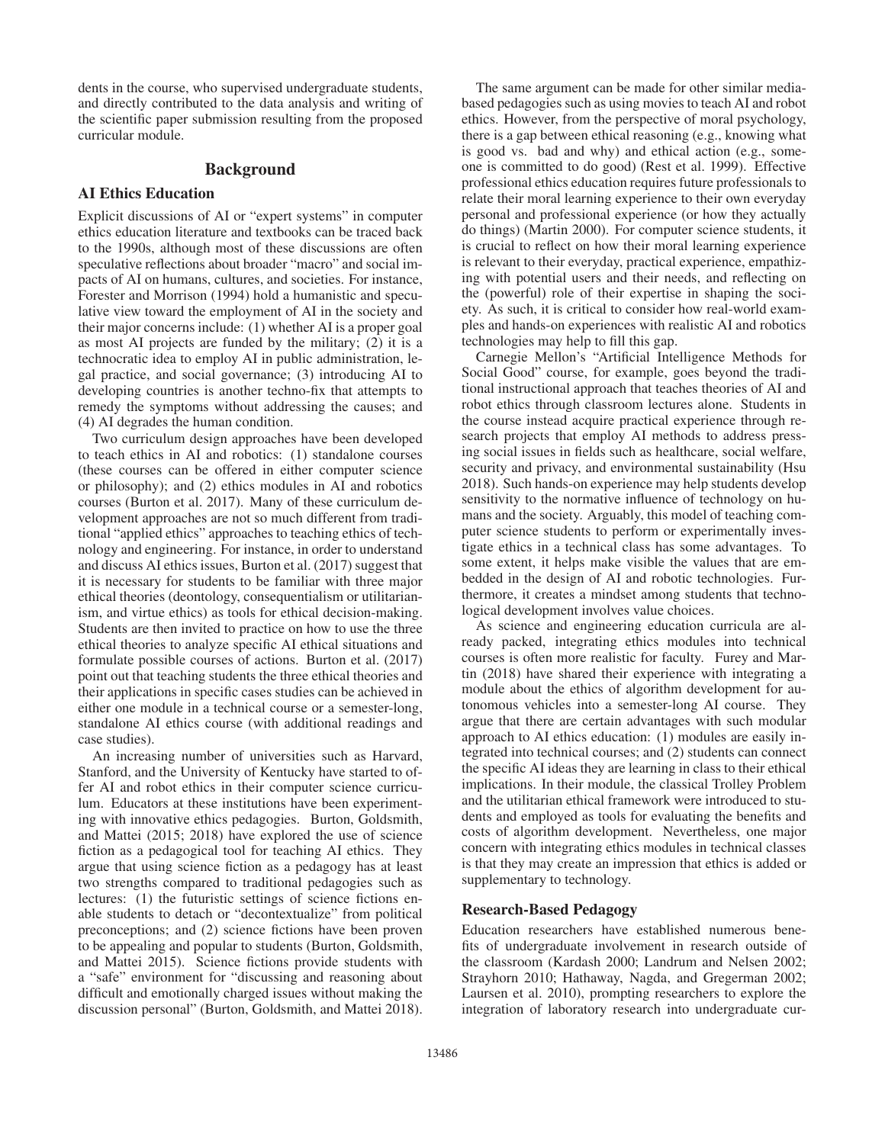dents in the course, who supervised undergraduate students, and directly contributed to the data analysis and writing of the scientific paper submission resulting from the proposed curricular module.

### Background

### AI Ethics Education

Explicit discussions of AI or "expert systems" in computer ethics education literature and textbooks can be traced back to the 1990s, although most of these discussions are often speculative reflections about broader "macro" and social impacts of AI on humans, cultures, and societies. For instance, Forester and Morrison (1994) hold a humanistic and speculative view toward the employment of AI in the society and their major concerns include: (1) whether AI is a proper goal as most AI projects are funded by the military; (2) it is a technocratic idea to employ AI in public administration, legal practice, and social governance; (3) introducing AI to developing countries is another techno-fix that attempts to remedy the symptoms without addressing the causes; and (4) AI degrades the human condition.

Two curriculum design approaches have been developed to teach ethics in AI and robotics: (1) standalone courses (these courses can be offered in either computer science or philosophy); and (2) ethics modules in AI and robotics courses (Burton et al. 2017). Many of these curriculum development approaches are not so much different from traditional "applied ethics" approaches to teaching ethics of technology and engineering. For instance, in order to understand and discuss AI ethics issues, Burton et al. (2017) suggest that it is necessary for students to be familiar with three major ethical theories (deontology, consequentialism or utilitarianism, and virtue ethics) as tools for ethical decision-making. Students are then invited to practice on how to use the three ethical theories to analyze specific AI ethical situations and formulate possible courses of actions. Burton et al. (2017) point out that teaching students the three ethical theories and their applications in specific cases studies can be achieved in either one module in a technical course or a semester-long, standalone AI ethics course (with additional readings and case studies).

An increasing number of universities such as Harvard, Stanford, and the University of Kentucky have started to offer AI and robot ethics in their computer science curriculum. Educators at these institutions have been experimenting with innovative ethics pedagogies. Burton, Goldsmith, and Mattei (2015; 2018) have explored the use of science fiction as a pedagogical tool for teaching AI ethics. They argue that using science fiction as a pedagogy has at least two strengths compared to traditional pedagogies such as lectures: (1) the futuristic settings of science fictions enable students to detach or "decontextualize" from political preconceptions; and (2) science fictions have been proven to be appealing and popular to students (Burton, Goldsmith, and Mattei 2015). Science fictions provide students with a "safe" environment for "discussing and reasoning about difficult and emotionally charged issues without making the discussion personal" (Burton, Goldsmith, and Mattei 2018).

The same argument can be made for other similar mediabased pedagogies such as using movies to teach AI and robot ethics. However, from the perspective of moral psychology, there is a gap between ethical reasoning (e.g., knowing what is good vs. bad and why) and ethical action (e.g., someone is committed to do good) (Rest et al. 1999). Effective professional ethics education requires future professionals to relate their moral learning experience to their own everyday personal and professional experience (or how they actually do things) (Martin 2000). For computer science students, it is crucial to reflect on how their moral learning experience is relevant to their everyday, practical experience, empathizing with potential users and their needs, and reflecting on the (powerful) role of their expertise in shaping the society. As such, it is critical to consider how real-world examples and hands-on experiences with realistic AI and robotics technologies may help to fill this gap.

Carnegie Mellon's "Artificial Intelligence Methods for Social Good" course, for example, goes beyond the traditional instructional approach that teaches theories of AI and robot ethics through classroom lectures alone. Students in the course instead acquire practical experience through research projects that employ AI methods to address pressing social issues in fields such as healthcare, social welfare, security and privacy, and environmental sustainability (Hsu 2018). Such hands-on experience may help students develop sensitivity to the normative influence of technology on humans and the society. Arguably, this model of teaching computer science students to perform or experimentally investigate ethics in a technical class has some advantages. To some extent, it helps make visible the values that are embedded in the design of AI and robotic technologies. Furthermore, it creates a mindset among students that technological development involves value choices.

As science and engineering education curricula are already packed, integrating ethics modules into technical courses is often more realistic for faculty. Furey and Martin (2018) have shared their experience with integrating a module about the ethics of algorithm development for autonomous vehicles into a semester-long AI course. They argue that there are certain advantages with such modular approach to AI ethics education: (1) modules are easily integrated into technical courses; and (2) students can connect the specific AI ideas they are learning in class to their ethical implications. In their module, the classical Trolley Problem and the utilitarian ethical framework were introduced to students and employed as tools for evaluating the benefits and costs of algorithm development. Nevertheless, one major concern with integrating ethics modules in technical classes is that they may create an impression that ethics is added or supplementary to technology.

### Research-Based Pedagogy

Education researchers have established numerous benefits of undergraduate involvement in research outside of the classroom (Kardash 2000; Landrum and Nelsen 2002; Strayhorn 2010; Hathaway, Nagda, and Gregerman 2002; Laursen et al. 2010), prompting researchers to explore the integration of laboratory research into undergraduate cur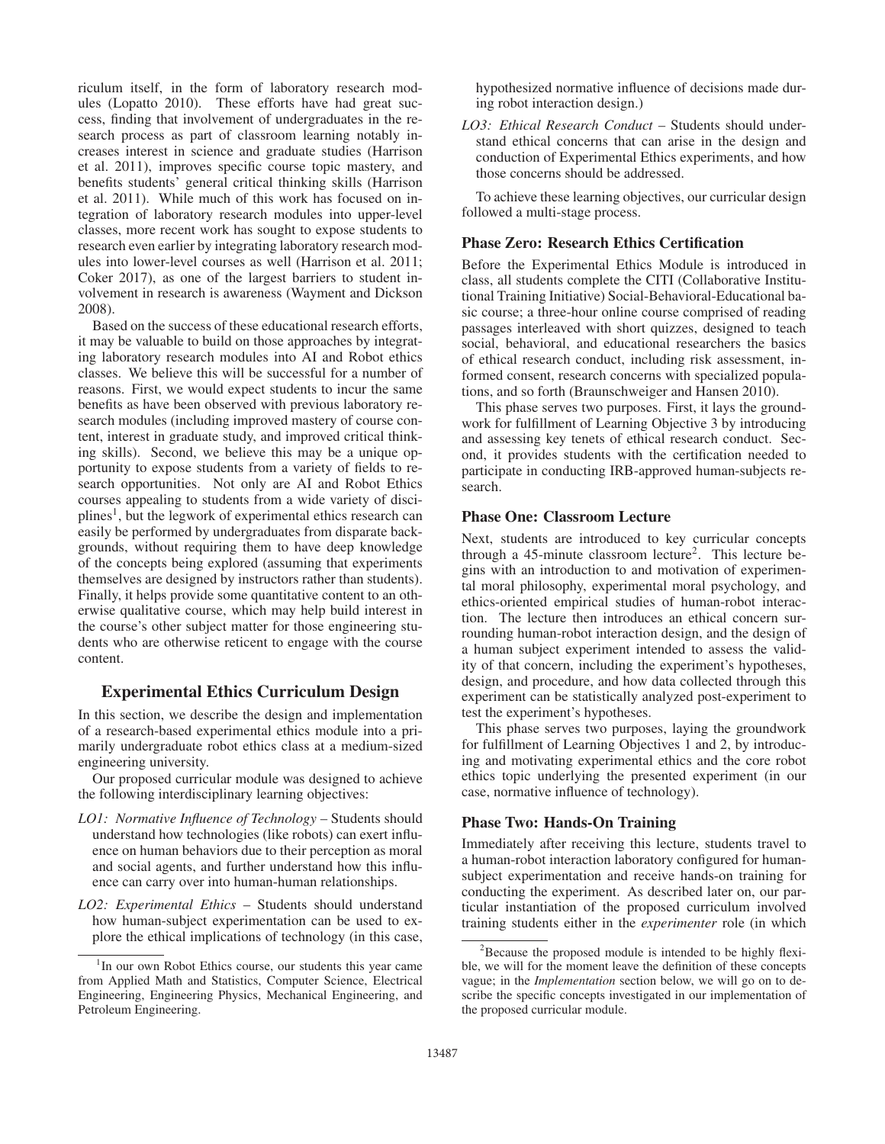riculum itself, in the form of laboratory research modules (Lopatto 2010). These efforts have had great success, finding that involvement of undergraduates in the research process as part of classroom learning notably increases interest in science and graduate studies (Harrison et al. 2011), improves specific course topic mastery, and benefits students' general critical thinking skills (Harrison et al. 2011). While much of this work has focused on integration of laboratory research modules into upper-level classes, more recent work has sought to expose students to research even earlier by integrating laboratory research modules into lower-level courses as well (Harrison et al. 2011; Coker 2017), as one of the largest barriers to student involvement in research is awareness (Wayment and Dickson 2008).

Based on the success of these educational research efforts, it may be valuable to build on those approaches by integrating laboratory research modules into AI and Robot ethics classes. We believe this will be successful for a number of reasons. First, we would expect students to incur the same benefits as have been observed with previous laboratory research modules (including improved mastery of course content, interest in graduate study, and improved critical thinking skills). Second, we believe this may be a unique opportunity to expose students from a variety of fields to research opportunities. Not only are AI and Robot Ethics courses appealing to students from a wide variety of disci- $\text{plines}^1$ , but the legwork of experimental ethics research can easily be performed by undergraduates from disparate backgrounds, without requiring them to have deep knowledge of the concepts being explored (assuming that experiments themselves are designed by instructors rather than students). Finally, it helps provide some quantitative content to an otherwise qualitative course, which may help build interest in the course's other subject matter for those engineering students who are otherwise reticent to engage with the course content.

## Experimental Ethics Curriculum Design

In this section, we describe the design and implementation of a research-based experimental ethics module into a primarily undergraduate robot ethics class at a medium-sized engineering university.

Our proposed curricular module was designed to achieve the following interdisciplinary learning objectives:

- *LO1: Normative Influence of Technology* Students should understand how technologies (like robots) can exert influence on human behaviors due to their perception as moral and social agents, and further understand how this influence can carry over into human-human relationships.
- *LO2: Experimental Ethics* Students should understand how human-subject experimentation can be used to explore the ethical implications of technology (in this case,

hypothesized normative influence of decisions made during robot interaction design.)

*LO3: Ethical Research Conduct* – Students should understand ethical concerns that can arise in the design and conduction of Experimental Ethics experiments, and how those concerns should be addressed.

To achieve these learning objectives, our curricular design followed a multi-stage process.

#### Phase Zero: Research Ethics Certification

Before the Experimental Ethics Module is introduced in class, all students complete the CITI (Collaborative Institutional Training Initiative) Social-Behavioral-Educational basic course; a three-hour online course comprised of reading passages interleaved with short quizzes, designed to teach social, behavioral, and educational researchers the basics of ethical research conduct, including risk assessment, informed consent, research concerns with specialized populations, and so forth (Braunschweiger and Hansen 2010).

This phase serves two purposes. First, it lays the groundwork for fulfillment of Learning Objective 3 by introducing and assessing key tenets of ethical research conduct. Second, it provides students with the certification needed to participate in conducting IRB-approved human-subjects research.

#### Phase One: Classroom Lecture

Next, students are introduced to key curricular concepts through a  $45$ -minute classroom lecture<sup>2</sup>. This lecture begins with an introduction to and motivation of experimental moral philosophy, experimental moral psychology, and ethics-oriented empirical studies of human-robot interaction. The lecture then introduces an ethical concern surrounding human-robot interaction design, and the design of a human subject experiment intended to assess the validity of that concern, including the experiment's hypotheses, design, and procedure, and how data collected through this experiment can be statistically analyzed post-experiment to test the experiment's hypotheses.

This phase serves two purposes, laying the groundwork for fulfillment of Learning Objectives 1 and 2, by introducing and motivating experimental ethics and the core robot ethics topic underlying the presented experiment (in our case, normative influence of technology).

#### Phase Two: Hands-On Training

Immediately after receiving this lecture, students travel to a human-robot interaction laboratory configured for humansubject experimentation and receive hands-on training for conducting the experiment. As described later on, our particular instantiation of the proposed curriculum involved training students either in the *experimenter* role (in which

<sup>&</sup>lt;sup>1</sup>In our own Robot Ethics course, our students this year came from Applied Math and Statistics, Computer Science, Electrical Engineering, Engineering Physics, Mechanical Engineering, and Petroleum Engineering.

<sup>&</sup>lt;sup>2</sup>Because the proposed module is intended to be highly flexible, we will for the moment leave the definition of these concepts vague; in the *Implementation* section below, we will go on to describe the specific concepts investigated in our implementation of the proposed curricular module.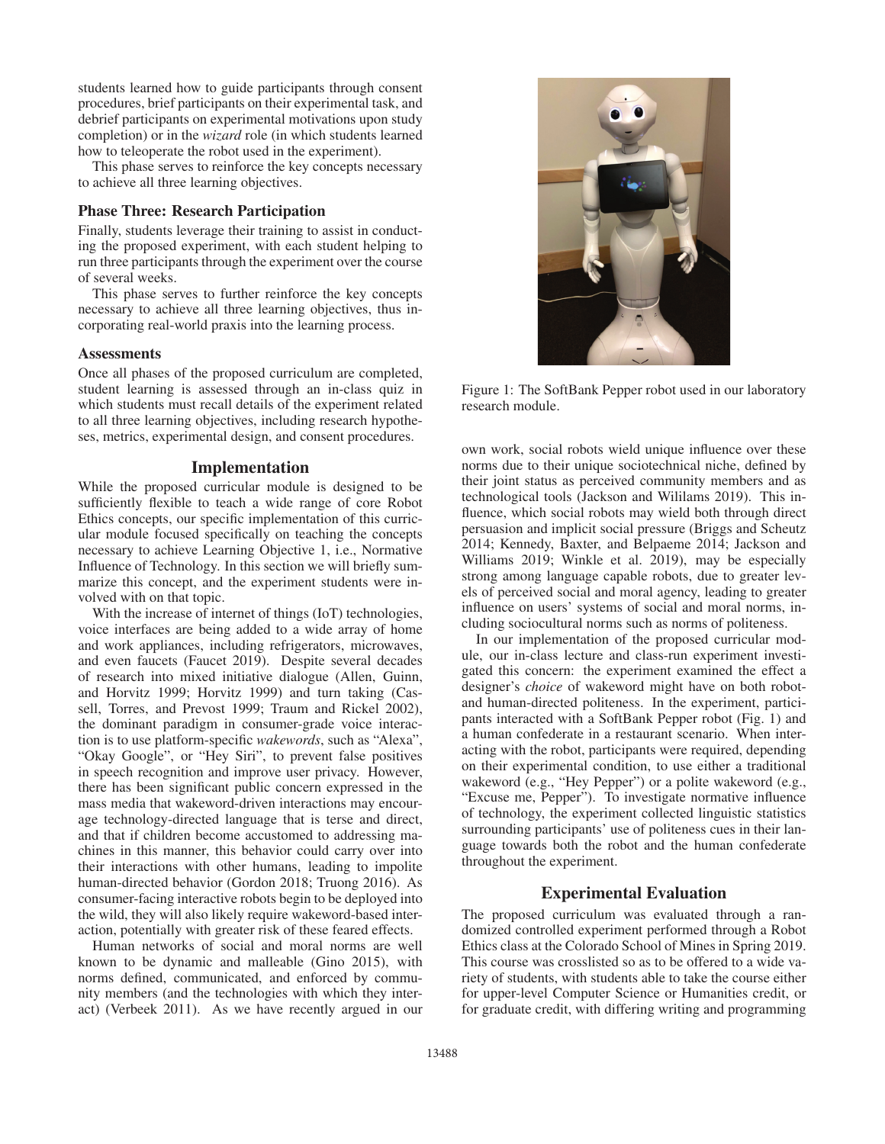students learned how to guide participants through consent procedures, brief participants on their experimental task, and debrief participants on experimental motivations upon study completion) or in the *wizard* role (in which students learned how to teleoperate the robot used in the experiment).

This phase serves to reinforce the key concepts necessary to achieve all three learning objectives.

# Phase Three: Research Participation

Finally, students leverage their training to assist in conducting the proposed experiment, with each student helping to run three participants through the experiment over the course of several weeks.

This phase serves to further reinforce the key concepts necessary to achieve all three learning objectives, thus incorporating real-world praxis into the learning process.

#### **Assessments**

Once all phases of the proposed curriculum are completed, student learning is assessed through an in-class quiz in which students must recall details of the experiment related to all three learning objectives, including research hypotheses, metrics, experimental design, and consent procedures.

### Implementation

While the proposed curricular module is designed to be sufficiently flexible to teach a wide range of core Robot Ethics concepts, our specific implementation of this curricular module focused specifically on teaching the concepts necessary to achieve Learning Objective 1, i.e., Normative Influence of Technology. In this section we will briefly summarize this concept, and the experiment students were involved with on that topic.

With the increase of internet of things (IoT) technologies, voice interfaces are being added to a wide array of home and work appliances, including refrigerators, microwaves, and even faucets (Faucet 2019). Despite several decades of research into mixed initiative dialogue (Allen, Guinn, and Horvitz 1999; Horvitz 1999) and turn taking (Cassell, Torres, and Prevost 1999; Traum and Rickel 2002), the dominant paradigm in consumer-grade voice interaction is to use platform-specific *wakewords*, such as "Alexa", "Okay Google", or "Hey Siri", to prevent false positives in speech recognition and improve user privacy. However, there has been significant public concern expressed in the mass media that wakeword-driven interactions may encourage technology-directed language that is terse and direct, and that if children become accustomed to addressing machines in this manner, this behavior could carry over into their interactions with other humans, leading to impolite human-directed behavior (Gordon 2018; Truong 2016). As consumer-facing interactive robots begin to be deployed into the wild, they will also likely require wakeword-based interaction, potentially with greater risk of these feared effects.

Human networks of social and moral norms are well known to be dynamic and malleable (Gino 2015), with norms defined, communicated, and enforced by community members (and the technologies with which they interact) (Verbeek 2011). As we have recently argued in our



Figure 1: The SoftBank Pepper robot used in our laboratory research module.

own work, social robots wield unique influence over these norms due to their unique sociotechnical niche, defined by their joint status as perceived community members and as technological tools (Jackson and Wililams 2019). This influence, which social robots may wield both through direct persuasion and implicit social pressure (Briggs and Scheutz 2014; Kennedy, Baxter, and Belpaeme 2014; Jackson and Williams 2019; Winkle et al. 2019), may be especially strong among language capable robots, due to greater levels of perceived social and moral agency, leading to greater influence on users' systems of social and moral norms, including sociocultural norms such as norms of politeness.

In our implementation of the proposed curricular module, our in-class lecture and class-run experiment investigated this concern: the experiment examined the effect a designer's *choice* of wakeword might have on both robotand human-directed politeness. In the experiment, participants interacted with a SoftBank Pepper robot (Fig. 1) and a human confederate in a restaurant scenario. When interacting with the robot, participants were required, depending on their experimental condition, to use either a traditional wakeword (e.g., "Hey Pepper") or a polite wakeword (e.g., "Excuse me, Pepper"). To investigate normative influence of technology, the experiment collected linguistic statistics surrounding participants' use of politeness cues in their language towards both the robot and the human confederate throughout the experiment.

# Experimental Evaluation

The proposed curriculum was evaluated through a randomized controlled experiment performed through a Robot Ethics class at the Colorado School of Mines in Spring 2019. This course was crosslisted so as to be offered to a wide variety of students, with students able to take the course either for upper-level Computer Science or Humanities credit, or for graduate credit, with differing writing and programming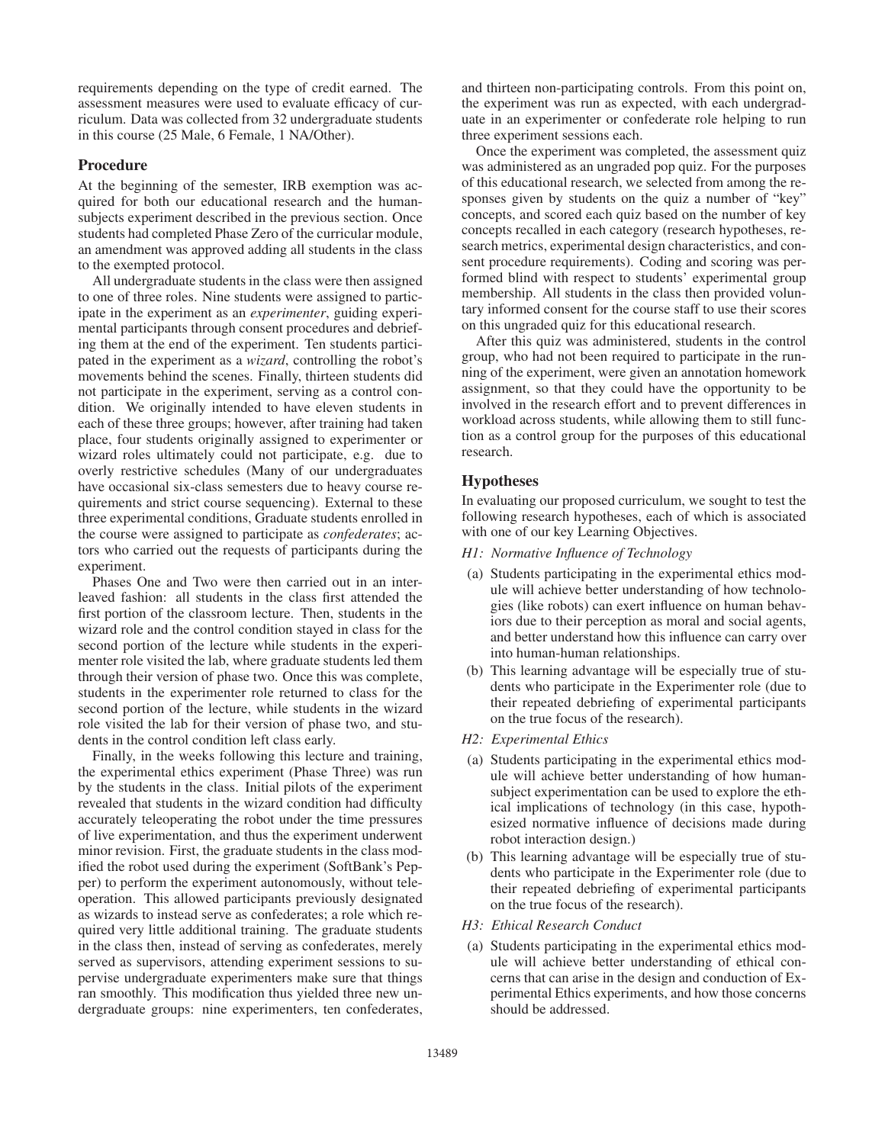requirements depending on the type of credit earned. The assessment measures were used to evaluate efficacy of curriculum. Data was collected from 32 undergraduate students in this course (25 Male, 6 Female, 1 NA/Other).

### Procedure

At the beginning of the semester, IRB exemption was acquired for both our educational research and the humansubjects experiment described in the previous section. Once students had completed Phase Zero of the curricular module, an amendment was approved adding all students in the class to the exempted protocol.

All undergraduate students in the class were then assigned to one of three roles. Nine students were assigned to participate in the experiment as an *experimenter*, guiding experimental participants through consent procedures and debriefing them at the end of the experiment. Ten students participated in the experiment as a *wizard*, controlling the robot's movements behind the scenes. Finally, thirteen students did not participate in the experiment, serving as a control condition. We originally intended to have eleven students in each of these three groups; however, after training had taken place, four students originally assigned to experimenter or wizard roles ultimately could not participate, e.g. due to overly restrictive schedules (Many of our undergraduates have occasional six-class semesters due to heavy course requirements and strict course sequencing). External to these three experimental conditions, Graduate students enrolled in the course were assigned to participate as *confederates*; actors who carried out the requests of participants during the experiment.

Phases One and Two were then carried out in an interleaved fashion: all students in the class first attended the first portion of the classroom lecture. Then, students in the wizard role and the control condition stayed in class for the second portion of the lecture while students in the experimenter role visited the lab, where graduate students led them through their version of phase two. Once this was complete, students in the experimenter role returned to class for the second portion of the lecture, while students in the wizard role visited the lab for their version of phase two, and students in the control condition left class early.

Finally, in the weeks following this lecture and training, the experimental ethics experiment (Phase Three) was run by the students in the class. Initial pilots of the experiment revealed that students in the wizard condition had difficulty accurately teleoperating the robot under the time pressures of live experimentation, and thus the experiment underwent minor revision. First, the graduate students in the class modified the robot used during the experiment (SoftBank's Pepper) to perform the experiment autonomously, without teleoperation. This allowed participants previously designated as wizards to instead serve as confederates; a role which required very little additional training. The graduate students in the class then, instead of serving as confederates, merely served as supervisors, attending experiment sessions to supervise undergraduate experimenters make sure that things ran smoothly. This modification thus yielded three new undergraduate groups: nine experimenters, ten confederates,

and thirteen non-participating controls. From this point on, the experiment was run as expected, with each undergraduate in an experimenter or confederate role helping to run three experiment sessions each.

Once the experiment was completed, the assessment quiz was administered as an ungraded pop quiz. For the purposes of this educational research, we selected from among the responses given by students on the quiz a number of "key" concepts, and scored each quiz based on the number of key concepts recalled in each category (research hypotheses, research metrics, experimental design characteristics, and consent procedure requirements). Coding and scoring was performed blind with respect to students' experimental group membership. All students in the class then provided voluntary informed consent for the course staff to use their scores on this ungraded quiz for this educational research.

After this quiz was administered, students in the control group, who had not been required to participate in the running of the experiment, were given an annotation homework assignment, so that they could have the opportunity to be involved in the research effort and to prevent differences in workload across students, while allowing them to still function as a control group for the purposes of this educational research.

### Hypotheses

In evaluating our proposed curriculum, we sought to test the following research hypotheses, each of which is associated with one of our key Learning Objectives.

- *H1: Normative Influence of Technology*
- (a) Students participating in the experimental ethics module will achieve better understanding of how technologies (like robots) can exert influence on human behaviors due to their perception as moral and social agents, and better understand how this influence can carry over into human-human relationships.
- (b) This learning advantage will be especially true of students who participate in the Experimenter role (due to their repeated debriefing of experimental participants on the true focus of the research).
- *H2: Experimental Ethics*
- (a) Students participating in the experimental ethics module will achieve better understanding of how humansubject experimentation can be used to explore the ethical implications of technology (in this case, hypothesized normative influence of decisions made during robot interaction design.)
- (b) This learning advantage will be especially true of students who participate in the Experimenter role (due to their repeated debriefing of experimental participants on the true focus of the research).
- *H3: Ethical Research Conduct*
- (a) Students participating in the experimental ethics module will achieve better understanding of ethical concerns that can arise in the design and conduction of Experimental Ethics experiments, and how those concerns should be addressed.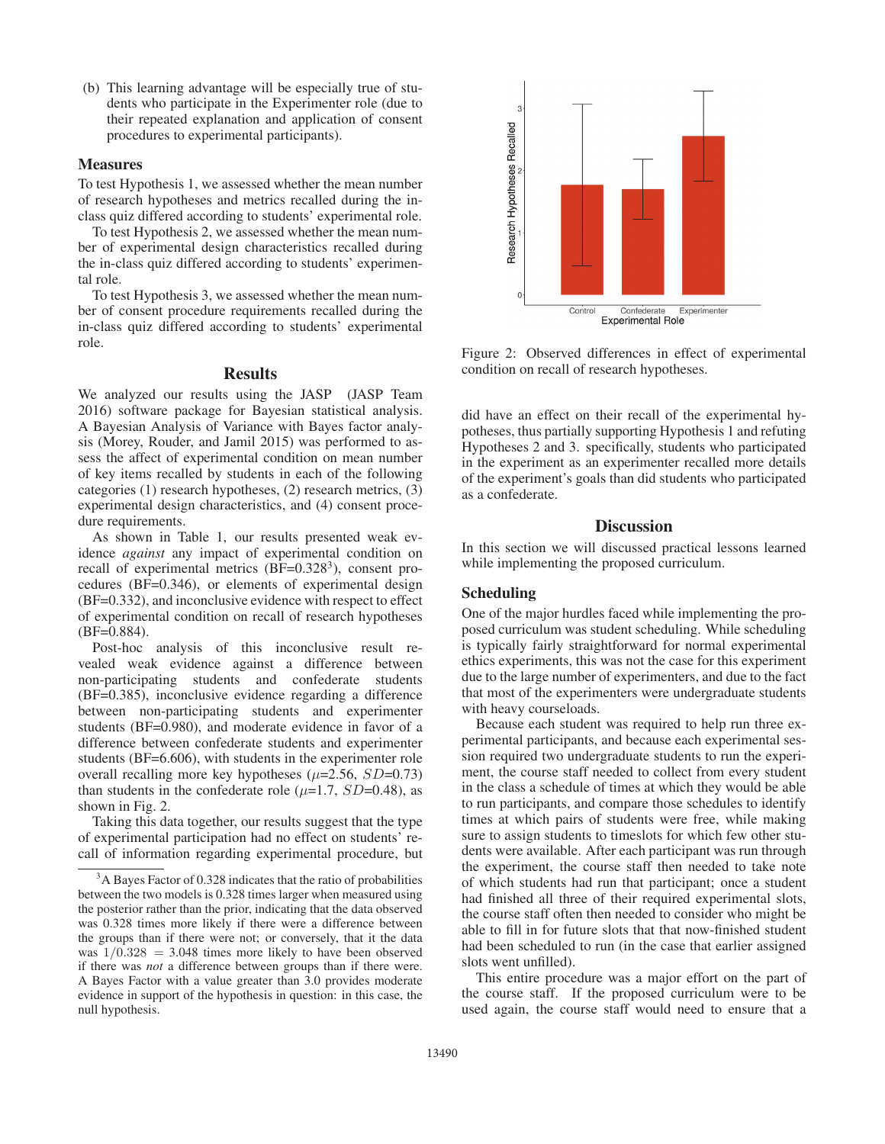(b) This learning advantage will be especially true of students who participate in the Experimenter role (due to their repeated explanation and application of consent procedures to experimental participants).

#### **Measures**

To test Hypothesis 1, we assessed whether the mean number of research hypotheses and metrics recalled during the inclass quiz differed according to students' experimental role.

To test Hypothesis 2, we assessed whether the mean number of experimental design characteristics recalled during the in-class quiz differed according to students' experimental role.

To test Hypothesis 3, we assessed whether the mean number of consent procedure requirements recalled during the in-class quiz differed according to students' experimental role.

# **Results**

We analyzed our results using the JASP (JASP Team 2016) software package for Bayesian statistical analysis. A Bayesian Analysis of Variance with Bayes factor analysis (Morey, Rouder, and Jamil 2015) was performed to assess the affect of experimental condition on mean number of key items recalled by students in each of the following categories (1) research hypotheses, (2) research metrics, (3) experimental design characteristics, and (4) consent procedure requirements.

As shown in Table 1, our results presented weak evidence *against* any impact of experimental condition on recall of experimental metrics  $(BF=0.328<sup>3</sup>)$ , consent procedures (BF=0.346), or elements of experimental design (BF=0.332), and inconclusive evidence with respect to effect of experimental condition on recall of research hypotheses  $(BF=0.884)$ .

Post-hoc analysis of this inconclusive result revealed weak evidence against a difference between non-participating students and confederate students (BF=0.385), inconclusive evidence regarding a difference between non-participating students and experimenter students (BF=0.980), and moderate evidence in favor of a difference between confederate students and experimenter students (BF=6.606), with students in the experimenter role overall recalling more key hypotheses  $(\mu=2.56, SD=0.73)$ than students in the confederate role ( $\mu$ =1.7, SD=0.48), as shown in Fig. 2.

Taking this data together, our results suggest that the type of experimental participation had no effect on students' recall of information regarding experimental procedure, but



Figure 2: Observed differences in effect of experimental condition on recall of research hypotheses.

did have an effect on their recall of the experimental hypotheses, thus partially supporting Hypothesis 1 and refuting Hypotheses 2 and 3. specifically, students who participated in the experiment as an experimenter recalled more details of the experiment's goals than did students who participated as a confederate.

### **Discussion**

In this section we will discussed practical lessons learned while implementing the proposed curriculum.

# Scheduling

One of the major hurdles faced while implementing the proposed curriculum was student scheduling. While scheduling is typically fairly straightforward for normal experimental ethics experiments, this was not the case for this experiment due to the large number of experimenters, and due to the fact that most of the experimenters were undergraduate students with heavy courseloads.

Because each student was required to help run three experimental participants, and because each experimental session required two undergraduate students to run the experiment, the course staff needed to collect from every student in the class a schedule of times at which they would be able to run participants, and compare those schedules to identify times at which pairs of students were free, while making sure to assign students to timeslots for which few other students were available. After each participant was run through the experiment, the course staff then needed to take note of which students had run that participant; once a student had finished all three of their required experimental slots, the course staff often then needed to consider who might be able to fill in for future slots that that now-finished student had been scheduled to run (in the case that earlier assigned slots went unfilled).

This entire procedure was a major effort on the part of the course staff. If the proposed curriculum were to be used again, the course staff would need to ensure that a

<sup>&</sup>lt;sup>3</sup>A Bayes Factor of 0.328 indicates that the ratio of probabilities between the two models is 0.328 times larger when measured using the posterior rather than the prior, indicating that the data observed was 0.328 times more likely if there were a difference between the groups than if there were not; or conversely, that it the data was  $1/0.328 = 3.048$  times more likely to have been observed if there was *not* a difference between groups than if there were. A Bayes Factor with a value greater than 3.0 provides moderate evidence in support of the hypothesis in question: in this case, the null hypothesis.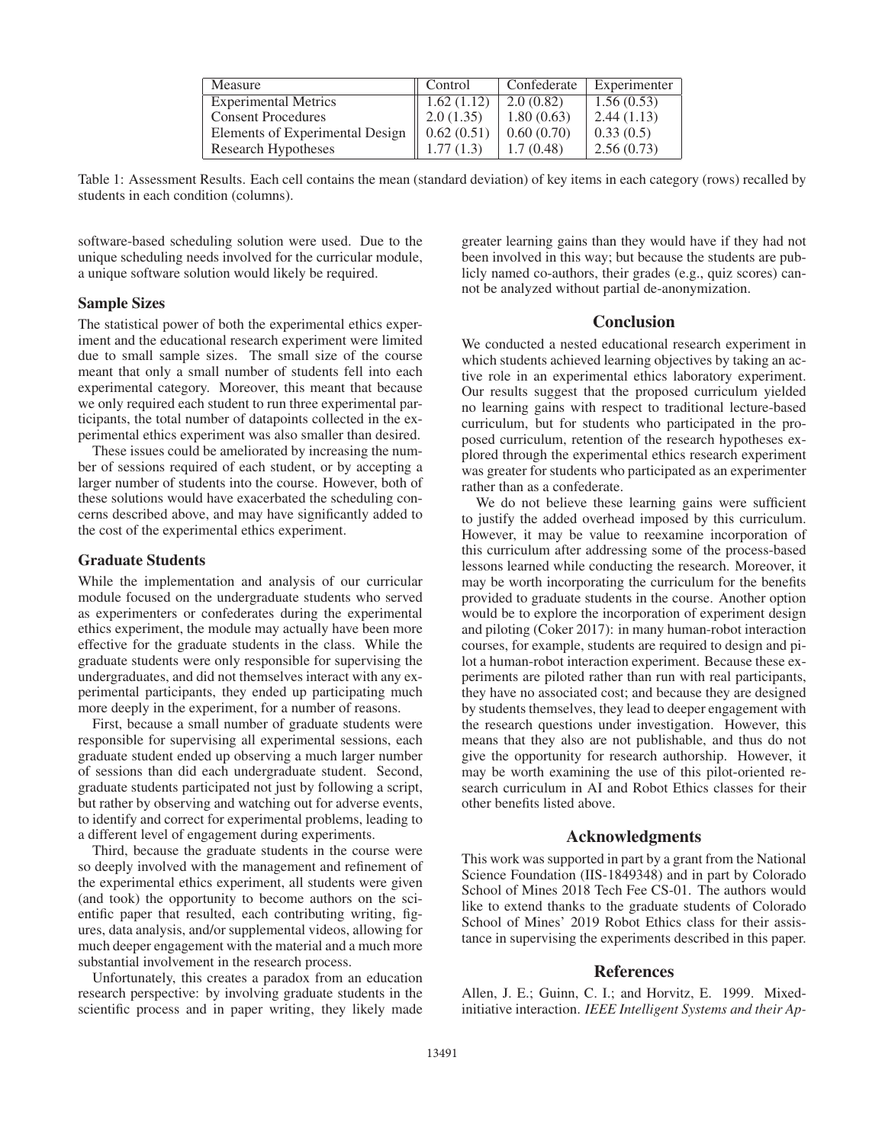| Measure                         | Control    | Confederate | Experimenter |
|---------------------------------|------------|-------------|--------------|
| <b>Experimental Metrics</b>     | 1.62(1.12) | 2.0(0.82)   | 1.56(0.53)   |
| <b>Consent Procedures</b>       | 2.0(1.35)  | 1.80(0.63)  | 2.44(1.13)   |
| Elements of Experimental Design | 0.62(0.51) | 0.60(0.70)  | 0.33(0.5)    |
| Research Hypotheses             | 1.77(1.3)  | 1.7(0.48)   | 2.56(0.73)   |

Table 1: Assessment Results. Each cell contains the mean (standard deviation) of key items in each category (rows) recalled by students in each condition (columns).

software-based scheduling solution were used. Due to the unique scheduling needs involved for the curricular module, a unique software solution would likely be required.

#### Sample Sizes

The statistical power of both the experimental ethics experiment and the educational research experiment were limited due to small sample sizes. The small size of the course meant that only a small number of students fell into each experimental category. Moreover, this meant that because we only required each student to run three experimental participants, the total number of datapoints collected in the experimental ethics experiment was also smaller than desired.

These issues could be ameliorated by increasing the number of sessions required of each student, or by accepting a larger number of students into the course. However, both of these solutions would have exacerbated the scheduling concerns described above, and may have significantly added to the cost of the experimental ethics experiment.

#### Graduate Students

While the implementation and analysis of our curricular module focused on the undergraduate students who served as experimenters or confederates during the experimental ethics experiment, the module may actually have been more effective for the graduate students in the class. While the graduate students were only responsible for supervising the undergraduates, and did not themselves interact with any experimental participants, they ended up participating much more deeply in the experiment, for a number of reasons.

First, because a small number of graduate students were responsible for supervising all experimental sessions, each graduate student ended up observing a much larger number of sessions than did each undergraduate student. Second, graduate students participated not just by following a script, but rather by observing and watching out for adverse events, to identify and correct for experimental problems, leading to a different level of engagement during experiments.

Third, because the graduate students in the course were so deeply involved with the management and refinement of the experimental ethics experiment, all students were given (and took) the opportunity to become authors on the scientific paper that resulted, each contributing writing, figures, data analysis, and/or supplemental videos, allowing for much deeper engagement with the material and a much more substantial involvement in the research process.

Unfortunately, this creates a paradox from an education research perspective: by involving graduate students in the scientific process and in paper writing, they likely made

greater learning gains than they would have if they had not been involved in this way; but because the students are publicly named co-authors, their grades (e.g., quiz scores) cannot be analyzed without partial de-anonymization.

### **Conclusion**

We conducted a nested educational research experiment in which students achieved learning objectives by taking an active role in an experimental ethics laboratory experiment. Our results suggest that the proposed curriculum yielded no learning gains with respect to traditional lecture-based curriculum, but for students who participated in the proposed curriculum, retention of the research hypotheses explored through the experimental ethics research experiment was greater for students who participated as an experimenter rather than as a confederate.

We do not believe these learning gains were sufficient to justify the added overhead imposed by this curriculum. However, it may be value to reexamine incorporation of this curriculum after addressing some of the process-based lessons learned while conducting the research. Moreover, it may be worth incorporating the curriculum for the benefits provided to graduate students in the course. Another option would be to explore the incorporation of experiment design and piloting (Coker 2017): in many human-robot interaction courses, for example, students are required to design and pilot a human-robot interaction experiment. Because these experiments are piloted rather than run with real participants, they have no associated cost; and because they are designed by students themselves, they lead to deeper engagement with the research questions under investigation. However, this means that they also are not publishable, and thus do not give the opportunity for research authorship. However, it may be worth examining the use of this pilot-oriented research curriculum in AI and Robot Ethics classes for their other benefits listed above.

#### Acknowledgments

This work was supported in part by a grant from the National Science Foundation (IIS-1849348) and in part by Colorado School of Mines 2018 Tech Fee CS-01. The authors would like to extend thanks to the graduate students of Colorado School of Mines' 2019 Robot Ethics class for their assistance in supervising the experiments described in this paper.

# References

Allen, J. E.; Guinn, C. I.; and Horvitz, E. 1999. Mixedinitiative interaction. *IEEE Intelligent Systems and their Ap-*